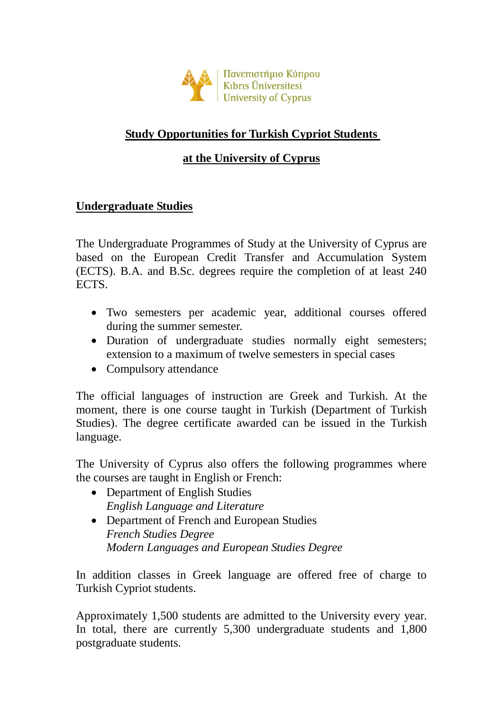

## **Study Opportunities for Turkish Cypriot Students**

#### **at the University of Cyprus**

#### **Undergraduate Studies**

The Undergraduate Programmes of Study at the University of Cyprus are based on the European Credit Transfer and Accumulation System (ECTS). B.A. and B.Sc. degrees require the completion of at least 240 ECTS.

- Two semesters per academic year, additional courses offered during the summer semester.
- Duration of undergraduate studies normally eight semesters; extension to a maximum of twelve semesters in special cases
- Compulsory attendance

The official languages of instruction are Greek and Turkish. At the moment, there is one course taught in Turkish (Department of Turkish Studies). The degree certificate awarded can be issued in the Turkish language.

The University of Cyprus also offers the following programmes where the courses are taught in English or French:

- Department of English Studies *English Language and Literature*
- Department of French and European Studies *French Studies Degree Modern Languages and European Studies Degree*

In addition classes in Greek language are offered free of charge to Turkish Cypriot students.

Approximately 1,500 students are admitted to the University every year. In total, there are currently 5,300 undergraduate students and 1,800 postgraduate students.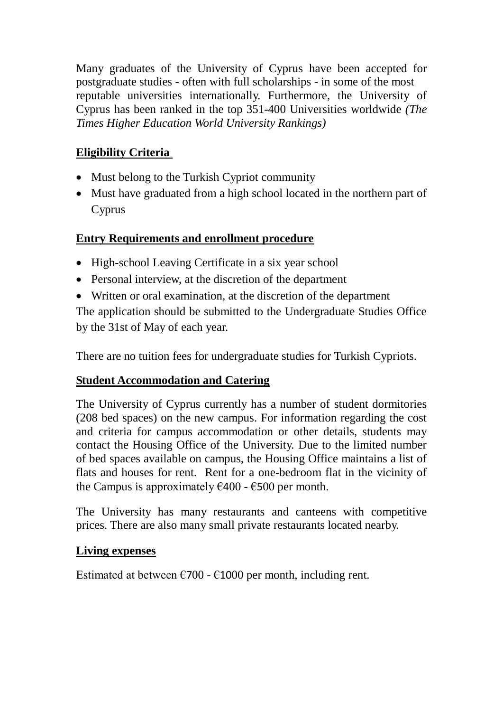Many graduates of the University of Cyprus have been accepted for postgraduate studies - often with full scholarships - in some of the most reputable universities internationally. Furthermore, the University of Cyprus has been ranked in the top 351-400 Universities worldwide *(The Times Higher Education World University Rankings)*

## **Eligibility Criteria**

- Must belong to the Turkish Cypriot community
- Must have graduated from a high school located in the northern part of Cyprus

## **Entry Requirements and enrollment procedure**

- High-school Leaving Certificate in a six year school
- Personal interview, at the discretion of the department
- Written or oral examination, at the discretion of the department

The application should be submitted to the Undergraduate Studies Office by the 31st of May of each year.

There are no tuition fees for undergraduate studies for Turkish Cypriots.

## **Student Accommodation and Catering**

The University of Cyprus currently has a number of student dormitories (208 bed spaces) on the new campus. For information regarding the cost and criteria for campus accommodation or other details, students may contact the Housing Office of the University. Due to the limited number of bed spaces available on campus, the Housing Office maintains a list of flats and houses for rent. Rent for a one-bedroom flat in the vicinity of the Campus is approximately  $\epsilon$ 400 -  $\epsilon$ 500 per month.

The University has many restaurants and canteens with competitive prices. There are also many small private restaurants located nearby.

## **Living expenses**

Estimated at between  $\epsilon$ 700 -  $\epsilon$ 1000 per month, including rent.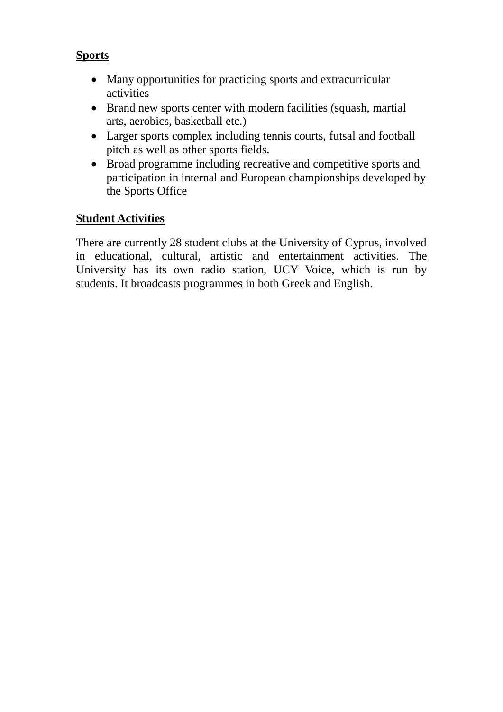#### **Sports**

- Many opportunities for practicing sports and extracurricular activities
- Brand new sports center with modern facilities (squash, martial arts, aerobics, basketball etc.)
- Larger sports complex including tennis courts, futsal and football pitch as well as other sports fields.
- Broad programme including recreative and competitive sports and participation in internal and European championships developed by the Sports Office

#### **Student Activities**

There are currently 28 student clubs at the University of Cyprus, involved in educational, cultural, artistic and entertainment activities. The University has its own radio station, UCY Voice, which is run by students. It broadcasts programmes in both Greek and English.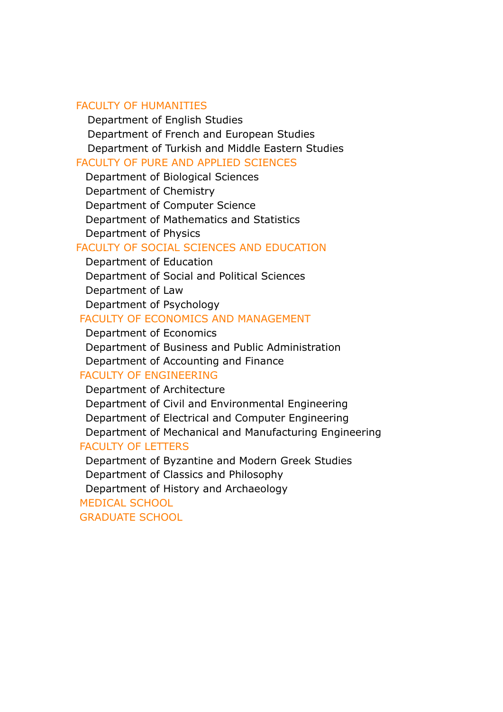#### FACULTY OF HUMANITIES

Department of English Studies Department of French and European Studies Department of Turkish and Middle Eastern Studies

#### FACULTY OF PURE AND APPLIED SCIENCES

Department of Biological Sciences Department of Chemistry Department of Computer Science Department of Mathematics and Statistics Department of Physics

#### FACULTY OF SOCIAL SCIENCES AND EDUCATION

Department of Education Department of Social and Political Sciences Department of Law Department of Psychology

#### FACULTY OF ECONOMICS AND MANAGEMENT

Department of Economics Department of Business and Public Administration Department of Accounting and Finance

#### FACULTY OF ENGINEERING

Department of Architecture Department of Civil and Environmental Engineering Department of Electrical and Computer Engineering Department of Mechanical and Manufacturing Engineering FACULTY OF LETTERS

Department of Byzantine and Modern Greek Studies Department of Classics and Philosophy Department of History and Archaeology

# MEDICAL SCHOOL

GRADUATE SCHOOL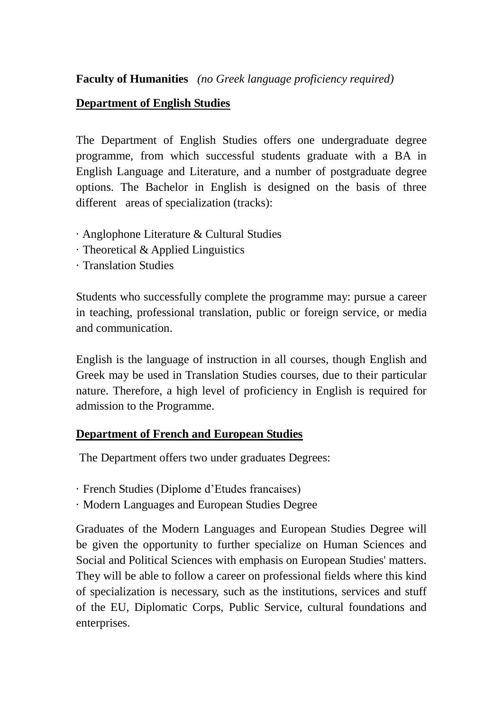**Faculty of Humanities** *(no Greek language proficiency required)* 

#### **Department of English Studies**

The Department of English Studies offers one [undergraduate degree](http://www.ucy.ac.cy/eng/en/academicprogramms/undergraduate)  [programme,](http://www.ucy.ac.cy/eng/en/academicprogramms/undergraduate) from which successful students graduate with a BA in English Language and Literature, and a number of [postgraduate degree](http://www.ucy.ac.cy/eng/en/academicprogramms/postgraduate)  [options.](http://www.ucy.ac.cy/eng/en/academicprogramms/postgraduate) The Bachelor in English is designed on the basis of three different areas of specialization (tracks):

- · [Anglophone Literature & Cultural Studies](http://www.ucy.ac.cy/eng/en/component/content/article/16-en-articles/en-topm/academic-programms/49-anglophoneliteratureculturalstudies)
- · [Theoretical & Applied Linguistics](http://www.ucy.ac.cy/eng/en/component/content/article/16-en-articles/en-topm/academic-programms/50-theoreticalappliedlinguistics)
- · [Translation Studies](http://www.ucy.ac.cy/eng/en/component/content/article/16-en-articles/en-topm/academic-programms/51-translationinterculturalstudies)

Students who successfully complete the programme may: pursue a career in teaching, professional translation, public or foreign service, or media and communication.

English is the language of instruction in all courses, though English and Greek may be used in Translation Studies courses, due to their particular nature. Therefore, a high level of proficiency in English is required for admission to the Programme.

## **Department of French and European Studies**

The Department offers two under graduates Degrees:

- · French Studies (Diplome d'Etudes francaises)
- · Modern Languages and European Studies Degree

Graduates of the Modern Languages and European Studies Degree will be given the opportunity to further specialize on Human Sciences and Social and Political Sciences with emphasis on European Studies' matters. They will be able to follow a career on professional fields where this kind of specialization is necessary, such as the institutions, services and stuff of the EU, Diplomatic Corps, Public Service, cultural foundations and enterprises.